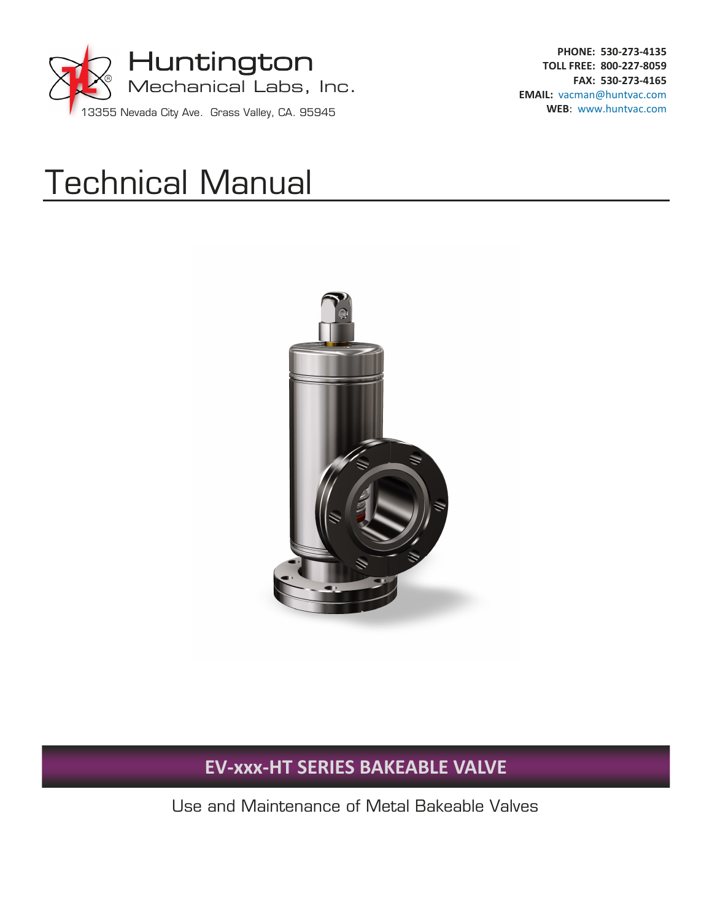

**PHONE: 530‐273‐4135 TOLL FREE: 800‐227‐8059 FAX: 530‐273‐4165 EMAIL:** vacman@huntvac.com **WEB**: www.huntvac.com

# Technical Manual



## **EV‐xxx‐HT SERIES BAKEABLE VALVE**

Use and Maintenance of Metal Bakeable Valves